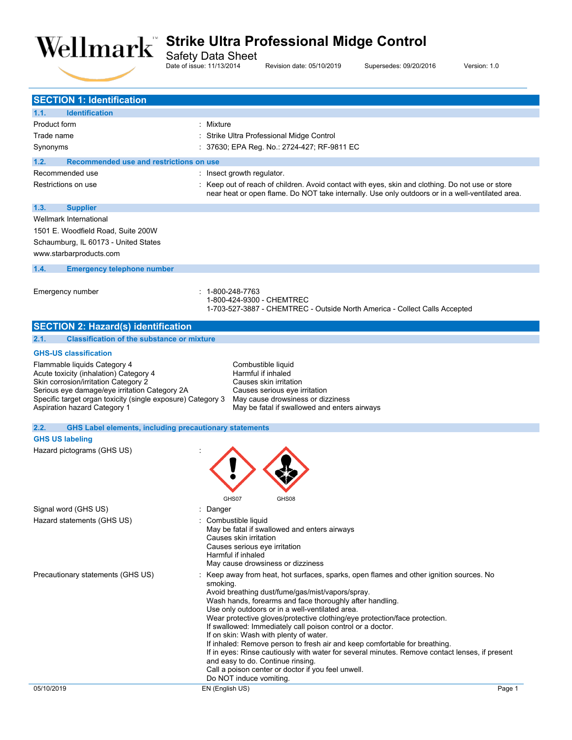

Safety Data Sheet

Date of issue: 11/13/2014 Revision date: 05/10/2019 Supersedes: 09/20/2016 Version: 1.0

| <b>SECTION 1: Identification</b>                                                            |                                                                                                                                                                                                      |
|---------------------------------------------------------------------------------------------|------------------------------------------------------------------------------------------------------------------------------------------------------------------------------------------------------|
| <b>Identification</b><br>1.1.                                                               |                                                                                                                                                                                                      |
| <b>Product form</b>                                                                         | : Mixture                                                                                                                                                                                            |
| Trade name                                                                                  | Strike Ultra Professional Midge Control                                                                                                                                                              |
| Synonyms                                                                                    | 37630; EPA Reg. No.: 2724-427; RF-9811 EC                                                                                                                                                            |
| 1.2.<br>Recommended use and restrictions on use                                             |                                                                                                                                                                                                      |
| Recommended use                                                                             | : Insect growth regulator.                                                                                                                                                                           |
| Restrictions on use                                                                         | : Keep out of reach of children. Avoid contact with eyes, skin and clothing. Do not use or store<br>near heat or open flame. Do NOT take internally. Use only outdoors or in a well-ventilated area. |
| 1.3.<br><b>Supplier</b>                                                                     |                                                                                                                                                                                                      |
| <b>Wellmark International</b>                                                               |                                                                                                                                                                                                      |
| 1501 E. Woodfield Road, Suite 200W                                                          |                                                                                                                                                                                                      |
| Schaumburg, IL 60173 - United States                                                        |                                                                                                                                                                                                      |
| www.starbarproducts.com                                                                     |                                                                                                                                                                                                      |
| 1.4.<br><b>Emergency telephone number</b>                                                   |                                                                                                                                                                                                      |
| Emergency number                                                                            | 1-800-248-7763<br>1-800-424-9300 - CHEMTREC<br>1-703-527-3887 - CHEMTREC - Outside North America - Collect Calls Accepted                                                                            |
| <b>SECTION 2: Hazard(s) identification</b>                                                  |                                                                                                                                                                                                      |
| 2.1.<br><b>Classification of the substance or mixture</b>                                   |                                                                                                                                                                                                      |
| <b>GHS-US classification</b>                                                                |                                                                                                                                                                                                      |
| Flammable liquids Category 4                                                                | Combustible liquid                                                                                                                                                                                   |
| Acute toxicity (inhalation) Category 4                                                      | Harmful if inhaled                                                                                                                                                                                   |
| Skin corrosion/irritation Category 2<br>Serious eye damage/eye irritation Category 2A       | Causes skin irritation<br>Causes serious eye irritation                                                                                                                                              |
| Specific target organ toxicity (single exposure) Category 3<br>Aspiration hazard Category 1 | May cause drowsiness or dizziness<br>May be fatal if swallowed and enters airways                                                                                                                    |
| 2.2.<br><b>GHS Label elements, including precautionary statements</b>                       |                                                                                                                                                                                                      |
| <b>GHS US labeling</b>                                                                      |                                                                                                                                                                                                      |
| Hazard pictograms (GHS US)                                                                  |                                                                                                                                                                                                      |
|                                                                                             |                                                                                                                                                                                                      |
|                                                                                             | GHS07<br>GHS08                                                                                                                                                                                       |
| Signal word (GHS US)                                                                        | : Danger                                                                                                                                                                                             |
| Hazard statements (GHS US)                                                                  | Combustible liquid                                                                                                                                                                                   |
|                                                                                             | May be fatal if swallowed and enters airways<br>Causes skin irritation                                                                                                                               |
|                                                                                             | Causes serious eye irritation                                                                                                                                                                        |
|                                                                                             | Harmful if inhaled                                                                                                                                                                                   |
|                                                                                             | May cause drowsiness or dizziness                                                                                                                                                                    |
| Precautionary statements (GHS US)                                                           | Keep away from heat, hot surfaces, sparks, open flames and other ignition sources. No                                                                                                                |
|                                                                                             | smoking.<br>Avoid breathing dust/fume/gas/mist/vapors/spray.                                                                                                                                         |
|                                                                                             | Wash hands, forearms and face thoroughly after handling.                                                                                                                                             |
|                                                                                             | Use only outdoors or in a well-ventilated area.                                                                                                                                                      |
|                                                                                             | Wear protective gloves/protective clothing/eye protection/face protection.                                                                                                                           |
|                                                                                             | If swallowed: Immediately call poison control or a doctor.<br>If on skin: Wash with plenty of water.                                                                                                 |
|                                                                                             | If inhaled: Remove person to fresh air and keep comfortable for breathing.                                                                                                                           |
|                                                                                             | If in eyes: Rinse cautiously with water for several minutes. Remove contact lenses, if present                                                                                                       |
|                                                                                             | and easy to do. Continue rinsing.                                                                                                                                                                    |
|                                                                                             | Call a poison center or doctor if you feel unwell.<br>Do NOT induce vomiting.                                                                                                                        |
| 05/10/2019                                                                                  | EN (English US)<br>Page 1                                                                                                                                                                            |
|                                                                                             |                                                                                                                                                                                                      |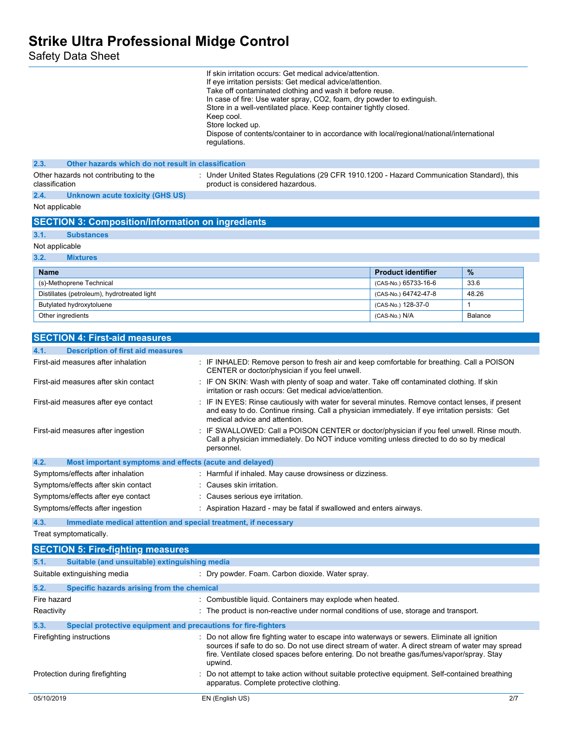Safety Data Sheet

|                                                                         | If skin irritation occurs: Get medical advice/attention.<br>If eye irritation persists: Get medical advice/attention.<br>Take off contaminated clothing and wash it before reuse.<br>In case of fire: Use water spray, CO2, foam, dry powder to extinguish.<br>Store in a well-ventilated place. Keep container tightly closed.<br>Keep cool.<br>Store locked up.<br>Dispose of contents/container to in accordance with local/regional/national/international<br>regulations. |                           |              |
|-------------------------------------------------------------------------|--------------------------------------------------------------------------------------------------------------------------------------------------------------------------------------------------------------------------------------------------------------------------------------------------------------------------------------------------------------------------------------------------------------------------------------------------------------------------------|---------------------------|--------------|
| Other hazards which do not result in classification<br>2.3.             |                                                                                                                                                                                                                                                                                                                                                                                                                                                                                |                           |              |
| Other hazards not contributing to the<br>classification                 | : Under United States Regulations (29 CFR 1910.1200 - Hazard Communication Standard), this<br>product is considered hazardous.                                                                                                                                                                                                                                                                                                                                                 |                           |              |
| 2.4.<br><b>Unknown acute toxicity (GHS US)</b>                          |                                                                                                                                                                                                                                                                                                                                                                                                                                                                                |                           |              |
| Not applicable                                                          |                                                                                                                                                                                                                                                                                                                                                                                                                                                                                |                           |              |
| <b>SECTION 3: Composition/Information on ingredients</b>                |                                                                                                                                                                                                                                                                                                                                                                                                                                                                                |                           |              |
| 3.1.<br><b>Substances</b>                                               |                                                                                                                                                                                                                                                                                                                                                                                                                                                                                |                           |              |
| Not applicable                                                          |                                                                                                                                                                                                                                                                                                                                                                                                                                                                                |                           |              |
| 3.2.<br><b>Mixtures</b>                                                 |                                                                                                                                                                                                                                                                                                                                                                                                                                                                                |                           |              |
| Name                                                                    |                                                                                                                                                                                                                                                                                                                                                                                                                                                                                | <b>Product identifier</b> | $\%$         |
| (s)-Methoprene Technical                                                |                                                                                                                                                                                                                                                                                                                                                                                                                                                                                | (CAS-No.) 65733-16-6      | 33.6         |
| Distillates (petroleum), hydrotreated light                             |                                                                                                                                                                                                                                                                                                                                                                                                                                                                                | (CAS-No.) 64742-47-8      | 48.26        |
| Butylated hydroxytoluene                                                |                                                                                                                                                                                                                                                                                                                                                                                                                                                                                | (CAS-No.) 128-37-0        | $\mathbf{1}$ |
| Other ingredients                                                       |                                                                                                                                                                                                                                                                                                                                                                                                                                                                                | (CAS-No.) N/A             | Balance      |
|                                                                         |                                                                                                                                                                                                                                                                                                                                                                                                                                                                                |                           |              |
| <b>SECTION 4: First-aid measures</b>                                    |                                                                                                                                                                                                                                                                                                                                                                                                                                                                                |                           |              |
| 4.1.<br><b>Description of first aid measures</b>                        |                                                                                                                                                                                                                                                                                                                                                                                                                                                                                |                           |              |
| First-aid measures after inhalation                                     | : IF INHALED: Remove person to fresh air and keep comfortable for breathing. Call a POISON<br>CENTER or doctor/physician if you feel unwell.                                                                                                                                                                                                                                                                                                                                   |                           |              |
| First-aid measures after skin contact                                   | : IF ON SKIN: Wash with plenty of soap and water. Take off contaminated clothing. If skin<br>irritation or rash occurs: Get medical advice/attention.                                                                                                                                                                                                                                                                                                                          |                           |              |
| First-aid measures after eye contact                                    | IF IN EYES: Rinse cautiously with water for several minutes. Remove contact lenses, if present<br>and easy to do. Continue rinsing. Call a physician immediately. If eye irritation persists: Get<br>medical advice and attention.                                                                                                                                                                                                                                             |                           |              |
| First-aid measures after ingestion                                      | IF SWALLOWED: Call a POISON CENTER or doctor/physician if you feel unwell. Rinse mouth.<br>Call a physician immediately. Do NOT induce vomiting unless directed to do so by medical<br>personnel.                                                                                                                                                                                                                                                                              |                           |              |
| 4.2.<br>Most important symptoms and effects (acute and delayed)         |                                                                                                                                                                                                                                                                                                                                                                                                                                                                                |                           |              |
| Symptoms/effects after inhalation                                       | : Harmful if inhaled. May cause drowsiness or dizziness.                                                                                                                                                                                                                                                                                                                                                                                                                       |                           |              |
| Symptoms/effects after skin contact                                     | Causes skin irritation.                                                                                                                                                                                                                                                                                                                                                                                                                                                        |                           |              |
| Symptoms/effects after eye contact                                      | : Causes serious eye irritation.                                                                                                                                                                                                                                                                                                                                                                                                                                               |                           |              |
| Symptoms/effects after ingestion                                        | : Aspiration Hazard - may be fatal if swallowed and enters airways.                                                                                                                                                                                                                                                                                                                                                                                                            |                           |              |
| 4.3.<br>Immediate medical attention and special treatment, if necessary |                                                                                                                                                                                                                                                                                                                                                                                                                                                                                |                           |              |
| Treat symptomatically.                                                  |                                                                                                                                                                                                                                                                                                                                                                                                                                                                                |                           |              |
| <b>SECTION 5: Fire-fighting measures</b>                                |                                                                                                                                                                                                                                                                                                                                                                                                                                                                                |                           |              |
| 5.1.<br>Suitable (and unsuitable) extinguishing media                   |                                                                                                                                                                                                                                                                                                                                                                                                                                                                                |                           |              |
| Suitable extinguishing media                                            | : Dry powder. Foam. Carbon dioxide. Water spray.                                                                                                                                                                                                                                                                                                                                                                                                                               |                           |              |
| 5.2.<br>Specific hazards arising from the chemical                      |                                                                                                                                                                                                                                                                                                                                                                                                                                                                                |                           |              |
| Fire hazard                                                             | : Combustible liquid. Containers may explode when heated.                                                                                                                                                                                                                                                                                                                                                                                                                      |                           |              |
| Reactivity                                                              | : The product is non-reactive under normal conditions of use, storage and transport.                                                                                                                                                                                                                                                                                                                                                                                           |                           |              |
| 5.3.<br>Special protective equipment and precautions for fire-fighters  |                                                                                                                                                                                                                                                                                                                                                                                                                                                                                |                           |              |
| Firefighting instructions                                               | : Do not allow fire fighting water to escape into waterways or sewers. Eliminate all ignition                                                                                                                                                                                                                                                                                                                                                                                  |                           |              |
|                                                                         | sources if safe to do so. Do not use direct stream of water. A direct stream of water may spread<br>fire. Ventilate closed spaces before entering. Do not breathe gas/fumes/vapor/spray. Stay<br>upwind.                                                                                                                                                                                                                                                                       |                           |              |

apparatus. Complete protective clothing.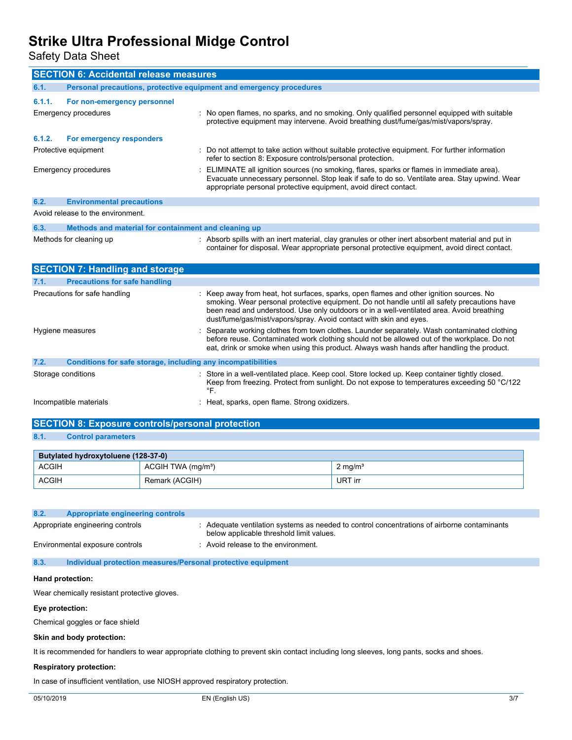Safety Data Sheet

| <b>SECTION 6: Accidental release measures</b>                               |                                                                                                                                                                                                                                                                                                                                                          |  |
|-----------------------------------------------------------------------------|----------------------------------------------------------------------------------------------------------------------------------------------------------------------------------------------------------------------------------------------------------------------------------------------------------------------------------------------------------|--|
| 6.1.<br>Personal precautions, protective equipment and emergency procedures |                                                                                                                                                                                                                                                                                                                                                          |  |
| 6.1.1.<br>For non-emergency personnel                                       |                                                                                                                                                                                                                                                                                                                                                          |  |
| Emergency procedures                                                        | : No open flames, no sparks, and no smoking. Only qualified personnel equipped with suitable<br>protective equipment may intervene. Avoid breathing dust/fume/gas/mist/vapors/spray.                                                                                                                                                                     |  |
| For emergency responders<br>6.1.2.                                          |                                                                                                                                                                                                                                                                                                                                                          |  |
| Protective equipment                                                        | : Do not attempt to take action without suitable protective equipment. For further information<br>refer to section 8: Exposure controls/personal protection.                                                                                                                                                                                             |  |
| Emergency procedures                                                        | ELIMINATE all ignition sources (no smoking, flares, sparks or flames in immediate area).<br>Evacuate unnecessary personnel. Stop leak if safe to do so. Ventilate area. Stay upwind. Wear<br>appropriate personal protective equipment, avoid direct contact.                                                                                            |  |
| 6.2.<br><b>Environmental precautions</b>                                    |                                                                                                                                                                                                                                                                                                                                                          |  |
| Avoid release to the environment.                                           |                                                                                                                                                                                                                                                                                                                                                          |  |
| 6.3.<br>Methods and material for containment and cleaning up                |                                                                                                                                                                                                                                                                                                                                                          |  |
| Methods for cleaning up                                                     | : Absorb spills with an inert material, clay granules or other inert absorbent material and put in<br>container for disposal. Wear appropriate personal protective equipment, avoid direct contact.                                                                                                                                                      |  |
| <b>SECTION 7: Handling and storage</b>                                      |                                                                                                                                                                                                                                                                                                                                                          |  |
| 7.1.<br><b>Precautions for safe handling</b>                                |                                                                                                                                                                                                                                                                                                                                                          |  |
| Precautions for safe handling                                               | Keep away from heat, hot surfaces, sparks, open flames and other ignition sources. No<br>smoking. Wear personal protective equipment. Do not handle until all safety precautions have<br>been read and understood. Use only outdoors or in a well-ventilated area. Avoid breathing<br>dust/fume/gas/mist/vapors/spray. Avoid contact with skin and eyes. |  |
| Hygiene measures                                                            | Separate working clothes from town clothes. Launder separately. Wash contaminated clothing<br>before reuse. Contaminated work clothing should not be allowed out of the workplace. Do not<br>eat, drink or smoke when using this product. Always wash hands after handling the product.                                                                  |  |
| Conditions for safe storage, including any incompatibilities<br>7.2.        |                                                                                                                                                                                                                                                                                                                                                          |  |
| Storage conditions                                                          | : Store in a well-ventilated place. Keep cool. Store locked up. Keep container tightly closed.<br>Keep from freezing. Protect from sunlight. Do not expose to temperatures exceeding 50 °C/122<br>°F.                                                                                                                                                    |  |
| Incompatible materials                                                      | : Heat, sparks, open flame. Strong oxidizers.                                                                                                                                                                                                                                                                                                            |  |

|         | <b>SECTION 8: Exposure controls/personal protection</b> |
|---------|---------------------------------------------------------|
|         |                                                         |
| $O$ $A$ | Control novembre                                        |

| 8.1. | <b>Control parameters</b> |
|------|---------------------------|
|      |                           |

| Butylated hydroxytoluene (128-37-0) |                               |                    |
|-------------------------------------|-------------------------------|--------------------|
| <b>ACGIH</b>                        | ACGH TWA (mg/m <sup>3</sup> ) | $2 \text{ mg/m}^3$ |
| <b>ACGIH</b>                        | Remark (ACGIH)                | URT irr            |

| 8.2. | Appropriate engineering controls |                                                                                                                                         |
|------|----------------------------------|-----------------------------------------------------------------------------------------------------------------------------------------|
|      |                                  |                                                                                                                                         |
|      | Appropriate engineering controls | : Adequate ventilation systems as needed to control concentrations of airborne contaminants<br>below applicable threshold limit values. |
|      | Environmental exposure controls  | : Avoid release to the environment.                                                                                                     |

**8.3. Individual protection measures/Personal protective equipment**

#### **Hand protection:**

Wear chemically resistant protective gloves.

#### **Eye protection:**

Chemical goggles or face shield

#### **Skin and body protection:**

It is recommended for handlers to wear appropriate clothing to prevent skin contact including long sleeves, long pants, socks and shoes.

#### **Respiratory protection:**

In case of insufficient ventilation, use NIOSH approved respiratory protection.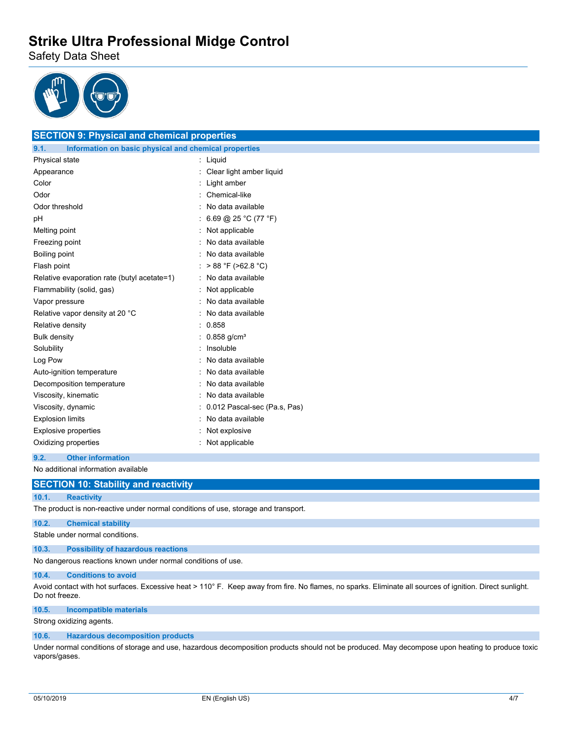Safety Data Sheet



**SECTION 9: Physical and chemical properties**

| <b>SECTION 5. Filipsical and chemical properties</b>          |                              |
|---------------------------------------------------------------|------------------------------|
| 9.1.<br>Information on basic physical and chemical properties |                              |
| Physical state                                                | Liquid<br>$\ddot{\cdot}$     |
| Appearance                                                    | Clear light amber liquid     |
| Color                                                         | Light amber                  |
| Odor                                                          | Chemical-like                |
| Odor threshold                                                | No data available            |
| рH                                                            | 6.69 @ 25 °C (77 °F)         |
| Melting point                                                 | Not applicable               |
| Freezing point                                                | No data available            |
| Boiling point                                                 | No data available            |
| Flash point                                                   | $> 88 °F$ ( $> 62.8 °C$ )    |
| Relative evaporation rate (butyl acetate=1)                   | No data available            |
| Flammability (solid, gas)                                     | Not applicable               |
| Vapor pressure                                                | No data available            |
| Relative vapor density at 20 °C                               | No data available            |
| Relative density                                              | 0.858                        |
| <b>Bulk density</b>                                           | $0.858$ g/cm <sup>3</sup>    |
| Solubility                                                    | Insoluble                    |
| Log Pow                                                       | No data available            |
| Auto-ignition temperature                                     | No data available            |
| Decomposition temperature                                     | No data available            |
| Viscosity, kinematic                                          | No data available            |
| Viscosity, dynamic                                            | 0.012 Pascal-sec (Pa.s, Pas) |
| <b>Explosion limits</b>                                       | No data available            |
| <b>Explosive properties</b>                                   | Not explosive                |
| Oxidizing properties                                          | Not applicable               |

#### **9.2. Other information**

No additional information available

### **SECTION 10: Stability and reactivity**

### **10.1. Reactivity**

The product is non-reactive under normal conditions of use, storage and transport.

## **10.2. Chemical stability**

Stable under normal conditions.

#### **10.3. Possibility of hazardous reactions**

No dangerous reactions known under normal conditions of use.

#### **10.4. Conditions to avoid**

Avoid contact with hot surfaces. Excessive heat > 110° F. Keep away from fire. No flames, no sparks. Eliminate all sources of ignition. Direct sunlight. Do not freeze.

### **10.5. Incompatible materials**

Strong oxidizing agents.

#### **10.6. Hazardous decomposition products**

Under normal conditions of storage and use, hazardous decomposition products should not be produced. May decompose upon heating to produce toxic vapors/gases.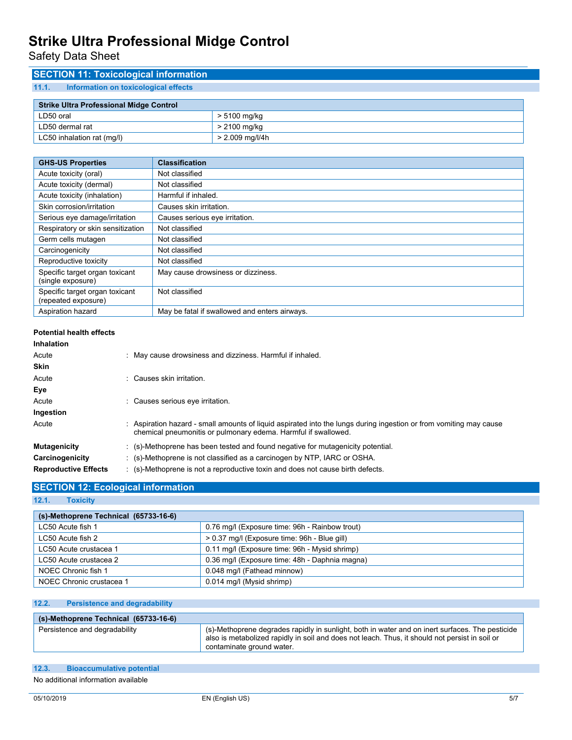Safety Data Sheet

## **SECTION 11: Toxicological information 11.1. Information on toxicological effects**

| <b>Strike Ultra Professional Midge Control</b> |                 |  |
|------------------------------------------------|-----------------|--|
| LD50 oral                                      | > 5100 mg/kg    |  |
| LD50 dermal rat                                | > 2100 mg/kg    |  |
| LC50 inhalation rat (mg/l)                     | > 2.009 mg/l/4h |  |

| <b>GHS-US Properties</b>                              | <b>Classification</b>                         |
|-------------------------------------------------------|-----------------------------------------------|
| Acute toxicity (oral)                                 | Not classified                                |
| Acute toxicity (dermal)                               | Not classified                                |
| Acute toxicity (inhalation)                           | Harmful if inhaled.                           |
| Skin corrosion/irritation                             | Causes skin irritation.                       |
| Serious eye damage/irritation                         | Causes serious eye irritation.                |
| Respiratory or skin sensitization                     | Not classified                                |
| Germ cells mutagen                                    | Not classified                                |
| Carcinogenicity                                       | Not classified                                |
| Reproductive toxicity                                 | Not classified                                |
| Specific target organ toxicant<br>(single exposure)   | May cause drowsiness or dizziness.            |
| Specific target organ toxicant<br>(repeated exposure) | Not classified                                |
| Aspiration hazard                                     | May be fatal if swallowed and enters airways. |

#### **Potential health effects**

| <b>Inhalation</b>           |                                                                                                                                                                                      |
|-----------------------------|--------------------------------------------------------------------------------------------------------------------------------------------------------------------------------------|
| Acute                       | : May cause drowsiness and dizziness. Harmful if inhaled.                                                                                                                            |
| <b>Skin</b>                 |                                                                                                                                                                                      |
| Acute                       | : Causes skin irritation.                                                                                                                                                            |
| Eye                         |                                                                                                                                                                                      |
| Acute                       | Causes serious eye irritation.                                                                                                                                                       |
| Ingestion                   |                                                                                                                                                                                      |
| Acute                       | : Aspiration hazard - small amounts of liquid aspirated into the lungs during ingestion or from vomiting may cause<br>chemical pneumonitis or pulmonary edema. Harmful if swallowed. |
| <b>Mutagenicity</b>         | $\therefore$ (s)-Methoprene has been tested and found negative for mutagenicity potential.                                                                                           |
| Carcinogenicity             | $\therefore$ (s)-Methoprene is not classified as a carcinogen by NTP, IARC or OSHA.                                                                                                  |
| <b>Reproductive Effects</b> | $\therefore$ (s)-Methoprene is not a reproductive toxin and does not cause birth defects.                                                                                            |

### **SECTION 12: Ecological information**

**12.1. Toxicity**

| (s)-Methoprene Technical (65733-16-6) |                                                |
|---------------------------------------|------------------------------------------------|
| LC50 Acute fish 1                     | 0.76 mg/l (Exposure time: 96h - Rainbow trout) |
| LC50 Acute fish 2                     | > 0.37 mg/l (Exposure time: 96h - Blue gill)   |
| LC50 Acute crustacea 1                | 0.11 mg/l (Exposure time: 96h - Mysid shrimp)  |
| LC50 Acute crustacea 2                | 0.36 mg/l (Exposure time: 48h - Daphnia magna) |
| NOEC Chronic fish 1                   | 0.048 mg/l (Fathead minnow)                    |
| NOEC Chronic crustacea 1              | 0.014 mg/l (Mysid shrimp)                      |

| 12.2.<br><b>Persistence and degradability</b> |                                                                                                                                                                                                                                |
|-----------------------------------------------|--------------------------------------------------------------------------------------------------------------------------------------------------------------------------------------------------------------------------------|
| (s)-Methoprene Technical (65733-16-6)         |                                                                                                                                                                                                                                |
| Persistence and degradability                 | (s)-Methoprene degrades rapidly in sunlight, both in water and on inert surfaces. The pesticide<br>also is metabolized rapidly in soil and does not leach. Thus, it should not persist in soil or<br>contaminate ground water. |

| 12.3. | <b>Bioaccumulative potential</b>    |
|-------|-------------------------------------|
|       | No additional information available |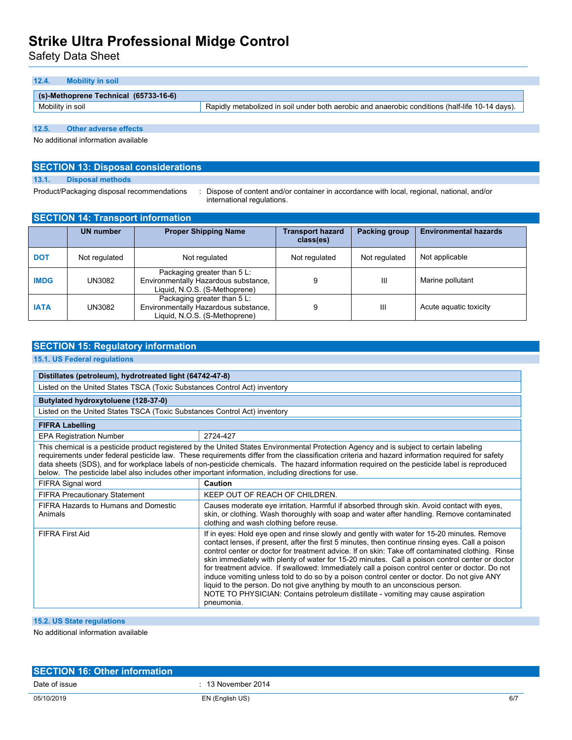Safety Data Sheet

| (s)-Methoprene Technical (65733-16-6) |                                                                                                 |
|---------------------------------------|-------------------------------------------------------------------------------------------------|
| Mobility in soil                      | Rapidly metabolized in soil under both aerobic and anaerobic conditions (half-life 10-14 days). |

**12.5. Other adverse effects**

No additional information available

## **SECTION 13: Disposal considerations**

**13.1. Disposal methods**

Product/Packaging disposal recommendations : Dispose of content and/or container in accordance with local, regional, national, and/or international regulations.

| <b>SECTION 14: Transport information</b> |                  |                                                                                                      |                                      |               |                              |  |
|------------------------------------------|------------------|------------------------------------------------------------------------------------------------------|--------------------------------------|---------------|------------------------------|--|
|                                          | <b>UN number</b> | <b>Proper Shipping Name</b>                                                                          | <b>Transport hazard</b><br>class(es) | Packing group | <b>Environmental hazards</b> |  |
| <b>DOT</b>                               | Not regulated    | Not regulated                                                                                        | Not regulated                        | Not regulated | Not applicable               |  |
| <b>IMDG</b>                              | UN3082           | Packaging greater than 5 L:<br>Environmentally Hazardous substance,<br>Liquid, N.O.S. (S-Methoprene) | 9                                    | Ш             | Marine pollutant             |  |
| <b>IATA</b>                              | UN3082           | Packaging greater than 5 L:<br>Environmentally Hazardous substance,<br>Liquid, N.O.S. (S-Methoprene) | 9                                    | Ш             | Acute aguatic toxicity       |  |

### **SECTION 15: Regulatory information**

### **15.1. US Federal regulations**

| Distillates (petroleum), hydrotreated light (64742-47-8)                                                                                                                                                                                                                                                                                                                                                                                                                                                                                          |                                                                                                                                                                                                                                                                                                                                                                                                                                                                                                                                                                                                                                                                                                                                                                                          |  |  |
|---------------------------------------------------------------------------------------------------------------------------------------------------------------------------------------------------------------------------------------------------------------------------------------------------------------------------------------------------------------------------------------------------------------------------------------------------------------------------------------------------------------------------------------------------|------------------------------------------------------------------------------------------------------------------------------------------------------------------------------------------------------------------------------------------------------------------------------------------------------------------------------------------------------------------------------------------------------------------------------------------------------------------------------------------------------------------------------------------------------------------------------------------------------------------------------------------------------------------------------------------------------------------------------------------------------------------------------------------|--|--|
| Listed on the United States TSCA (Toxic Substances Control Act) inventory                                                                                                                                                                                                                                                                                                                                                                                                                                                                         |                                                                                                                                                                                                                                                                                                                                                                                                                                                                                                                                                                                                                                                                                                                                                                                          |  |  |
| Butylated hydroxytoluene (128-37-0)                                                                                                                                                                                                                                                                                                                                                                                                                                                                                                               |                                                                                                                                                                                                                                                                                                                                                                                                                                                                                                                                                                                                                                                                                                                                                                                          |  |  |
| Listed on the United States TSCA (Toxic Substances Control Act) inventory                                                                                                                                                                                                                                                                                                                                                                                                                                                                         |                                                                                                                                                                                                                                                                                                                                                                                                                                                                                                                                                                                                                                                                                                                                                                                          |  |  |
| <b>FIFRA Labelling</b>                                                                                                                                                                                                                                                                                                                                                                                                                                                                                                                            |                                                                                                                                                                                                                                                                                                                                                                                                                                                                                                                                                                                                                                                                                                                                                                                          |  |  |
| <b>EPA Registration Number</b>                                                                                                                                                                                                                                                                                                                                                                                                                                                                                                                    | 2724-427                                                                                                                                                                                                                                                                                                                                                                                                                                                                                                                                                                                                                                                                                                                                                                                 |  |  |
| This chemical is a pesticide product registered by the United States Environmental Protection Agency and is subject to certain labeling<br>requirements under federal pesticide law. These requirements differ from the classification criteria and hazard information required for safety<br>data sheets (SDS), and for workplace labels of non-pesticide chemicals. The hazard information required on the pesticide label is reproduced<br>below. The pesticide label also includes other important information, including directions for use. |                                                                                                                                                                                                                                                                                                                                                                                                                                                                                                                                                                                                                                                                                                                                                                                          |  |  |
| FIFRA Signal word                                                                                                                                                                                                                                                                                                                                                                                                                                                                                                                                 | Caution                                                                                                                                                                                                                                                                                                                                                                                                                                                                                                                                                                                                                                                                                                                                                                                  |  |  |
| <b>FIFRA Precautionary Statement</b>                                                                                                                                                                                                                                                                                                                                                                                                                                                                                                              | KEEP OUT OF REACH OF CHILDREN.                                                                                                                                                                                                                                                                                                                                                                                                                                                                                                                                                                                                                                                                                                                                                           |  |  |
| FIFRA Hazards to Humans and Domestic<br>Animals                                                                                                                                                                                                                                                                                                                                                                                                                                                                                                   | Causes moderate eye irritation. Harmful if absorbed through skin. Avoid contact with eyes,<br>skin, or clothing. Wash thoroughly with soap and water after handling. Remove contaminated<br>clothing and wash clothing before reuse.                                                                                                                                                                                                                                                                                                                                                                                                                                                                                                                                                     |  |  |
| <b>FIFRA First Aid</b>                                                                                                                                                                                                                                                                                                                                                                                                                                                                                                                            | If in eyes: Hold eye open and rinse slowly and gently with water for 15-20 minutes. Remove<br>contact lenses, if present, after the first 5 minutes, then continue rinsing eyes. Call a poison<br>control center or doctor for treatment advice. If on skin: Take off contaminated clothing. Rinse<br>skin immediately with plenty of water for 15-20 minutes. Call a poison control center or doctor<br>for treatment advice. If swallowed: Immediately call a poison control center or doctor. Do not<br>induce vomiting unless told to do so by a poison control center or doctor. Do not give ANY<br>liquid to the person. Do not give anything by mouth to an unconscious person.<br>NOTE TO PHYSICIAN: Contains petroleum distillate - vomiting may cause aspiration<br>pneumonia. |  |  |

### **15.2. US State regulations**

No additional information available

| <b>SECTION 16: Other information</b> |                      |     |
|--------------------------------------|----------------------|-----|
| Date of issue                        | $: 13$ November 2014 |     |
| 05/10/2019                           | EN (English US)      | 6/7 |